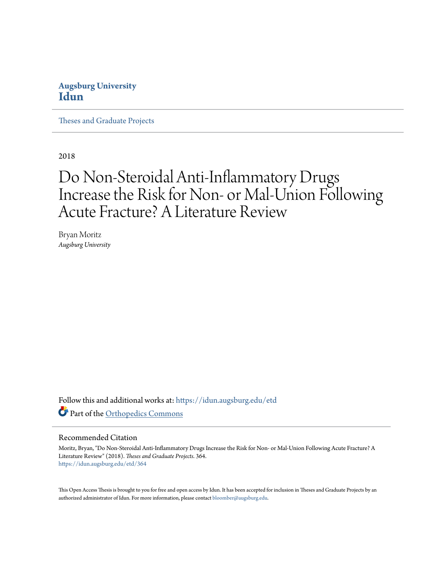#### **Augsburg University [Idun](https://idun.augsburg.edu?utm_source=idun.augsburg.edu%2Fetd%2F364&utm_medium=PDF&utm_campaign=PDFCoverPages)**

[Theses and Graduate Projects](https://idun.augsburg.edu/etd?utm_source=idun.augsburg.edu%2Fetd%2F364&utm_medium=PDF&utm_campaign=PDFCoverPages)

2018

# Do Non-Steroidal Anti-Inflammatory Drugs Increase the Risk for Non- or Mal-Union Following Acute Fracture? A Literature Review

Bryan Moritz *Augsburg University*

Follow this and additional works at: [https://idun.augsburg.edu/etd](https://idun.augsburg.edu/etd?utm_source=idun.augsburg.edu%2Fetd%2F364&utm_medium=PDF&utm_campaign=PDFCoverPages) Part of the [Orthopedics Commons](http://network.bepress.com/hgg/discipline/696?utm_source=idun.augsburg.edu%2Fetd%2F364&utm_medium=PDF&utm_campaign=PDFCoverPages)

#### Recommended Citation

Moritz, Bryan, "Do Non-Steroidal Anti-Inflammatory Drugs Increase the Risk for Non- or Mal-Union Following Acute Fracture? A Literature Review" (2018). *Theses and Graduate Projects*. 364. [https://idun.augsburg.edu/etd/364](https://idun.augsburg.edu/etd/364?utm_source=idun.augsburg.edu%2Fetd%2F364&utm_medium=PDF&utm_campaign=PDFCoverPages)

This Open Access Thesis is brought to you for free and open access by Idun. It has been accepted for inclusion in Theses and Graduate Projects by an authorized administrator of Idun. For more information, please contact [bloomber@augsburg.edu.](mailto:bloomber@augsburg.edu)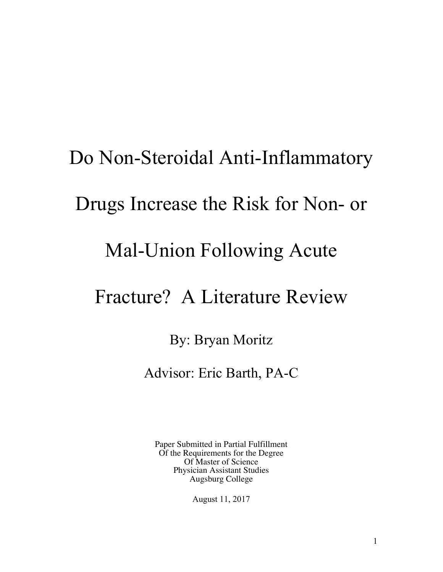# Do Non-Steroidal Anti-Inflammatory Drugs Increase the Risk for Non- or Mal-Union Following Acute

# Fracture? A Literature Review

## By: Bryan Moritz

## Advisor: Eric Barth, PA-C

Paper Submitted in Partial Fulfillment Of the Requirements for the Degree Of Master of Science Physician Assistant Studies Augsburg College

August 11, 2017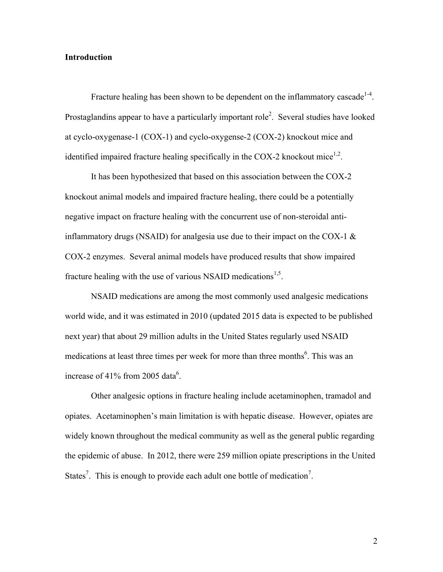#### **Introduction**

Fracture healing has been shown to be dependent on the inflammatory cascade  $1-4$ . Prostaglandins appear to have a particularly important role<sup>2</sup>. Several studies have looked at cyclo-oxygenase-1 (COX-1) and cyclo-oxygense-2 (COX-2) knockout mice and identified impaired fracture healing specifically in the COX-2 knockout mice<sup>1,2</sup>.

It has been hypothesized that based on this association between the COX-2 knockout animal models and impaired fracture healing, there could be a potentially negative impact on fracture healing with the concurrent use of non-steroidal antiinflammatory drugs (NSAID) for analgesia use due to their impact on the COX-1  $\&$ COX-2 enzymes. Several animal models have produced results that show impaired fracture healing with the use of various NSAID medications $^{1,5}$ .

NSAID medications are among the most commonly used analgesic medications world wide, and it was estimated in 2010 (updated 2015 data is expected to be published next year) that about 29 million adults in the United States regularly used NSAID medications at least three times per week for more than three months<sup>6</sup>. This was an increase of 41% from 2005 data $^{6}$ .

Other analgesic options in fracture healing include acetaminophen, tramadol and opiates. Acetaminophen's main limitation is with hepatic disease. However, opiates are widely known throughout the medical community as well as the general public regarding the epidemic of abuse. In 2012, there were 259 million opiate prescriptions in the United States<sup>7</sup>. This is enough to provide each adult one bottle of medication<sup>7</sup>.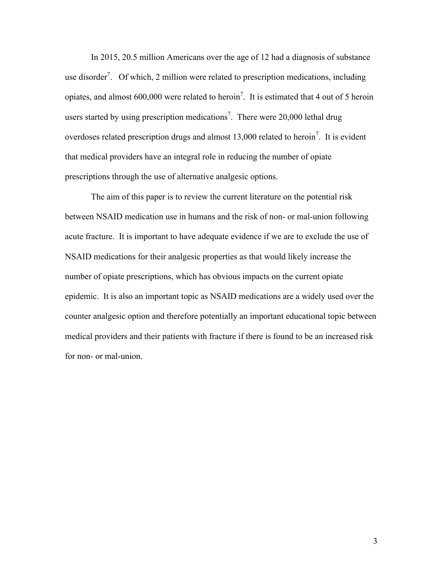In 2015, 20.5 million Americans over the age of 12 had a diagnosis of substance use disorder<sup>7</sup>. Of which, 2 million were related to prescription medications, including opiates, and almost 600,000 were related to heroin<sup>7</sup>. It is estimated that 4 out of 5 heroin users started by using prescription medications<sup>7</sup>. There were 20,000 lethal drug overdoses related prescription drugs and almost  $13,000$  related to heroin<sup>7</sup>. It is evident that medical providers have an integral role in reducing the number of opiate prescriptions through the use of alternative analgesic options.

The aim of this paper is to review the current literature on the potential risk between NSAID medication use in humans and the risk of non- or mal-union following acute fracture. It is important to have adequate evidence if we are to exclude the use of NSAID medications for their analgesic properties as that would likely increase the number of opiate prescriptions, which has obvious impacts on the current opiate epidemic. It is also an important topic as NSAID medications are a widely used over the counter analgesic option and therefore potentially an important educational topic between medical providers and their patients with fracture if there is found to be an increased risk for non- or mal-union.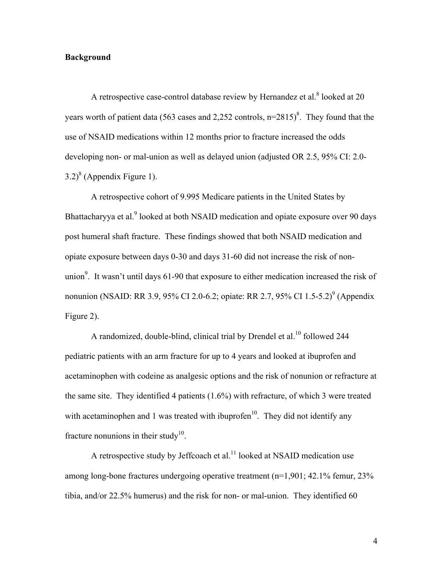#### **Background**

A retrospective case-control database review by Hernandez et al.<sup>8</sup> looked at 20 years worth of patient data (563 cases and 2,252 controls,  $n=2815$ <sup>8</sup>. They found that the use of NSAID medications within 12 months prior to fracture increased the odds developing non- or mal-union as well as delayed union (adjusted OR 2.5, 95% CI: 2.0-  $3.2$ <sup>8</sup> (Appendix Figure 1).

A retrospective cohort of 9.995 Medicare patients in the United States by Bhattacharyya et al.<sup>9</sup> looked at both NSAID medication and opiate exposure over 90 days post humeral shaft fracture. These findings showed that both NSAID medication and opiate exposure between days 0-30 and days 31-60 did not increase the risk of nonunion<sup>9</sup>. It wasn't until days 61-90 that exposure to either medication increased the risk of nonunion (NSAID: RR 3.9, 95% CI 2.0-6.2; opiate: RR 2.7, 95% CI 1.5-5.2)<sup>9</sup> (Appendix Figure 2).

A randomized, double-blind, clinical trial by Drendel et al.<sup>10</sup> followed 244 pediatric patients with an arm fracture for up to 4 years and looked at ibuprofen and acetaminophen with codeine as analgesic options and the risk of nonunion or refracture at the same site. They identified 4 patients (1.6%) with refracture, of which 3 were treated with acetaminophen and 1 was treated with ibuprofen<sup>10</sup>. They did not identify any fracture nonunions in their study<sup>10</sup>.

A retrospective study by Jeffcoach et al.<sup>11</sup> looked at NSAID medication use among long-bone fractures undergoing operative treatment (n=1,901; 42.1% femur, 23% tibia, and/or 22.5% humerus) and the risk for non- or mal-union. They identified 60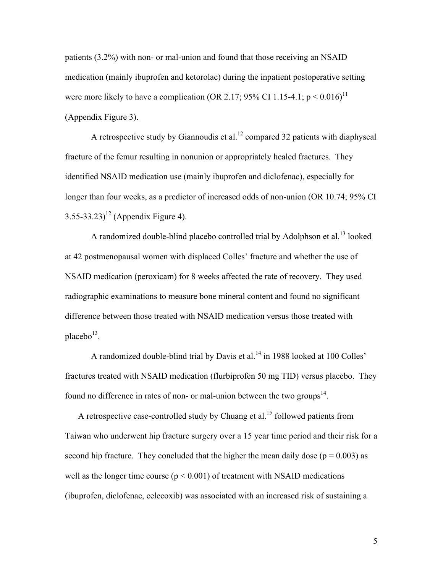patients (3.2%) with non- or mal-union and found that those receiving an NSAID medication (mainly ibuprofen and ketorolac) during the inpatient postoperative setting were more likely to have a complication (OR 2.17; 95% CI 1.15-4.1;  $p \le 0.016$ )<sup>11</sup> (Appendix Figure 3).

A retrospective study by Giannoudis et al.<sup>12</sup> compared 32 patients with diaphyseal fracture of the femur resulting in nonunion or appropriately healed fractures. They identified NSAID medication use (mainly ibuprofen and diclofenac), especially for longer than four weeks, as a predictor of increased odds of non-union (OR 10.74; 95% CI  $(3.55-33.23)^{12}$  (Appendix Figure 4).

A randomized double-blind placebo controlled trial by Adolphson et al.<sup>13</sup> looked at 42 postmenopausal women with displaced Colles' fracture and whether the use of NSAID medication (peroxicam) for 8 weeks affected the rate of recovery. They used radiographic examinations to measure bone mineral content and found no significant difference between those treated with NSAID medication versus those treated with placebo $^{13}$ .

A randomized double-blind trial by Davis et al.<sup>14</sup> in 1988 looked at 100 Colles' fractures treated with NSAID medication (flurbiprofen 50 mg TID) versus placebo. They found no difference in rates of non- or mal-union between the two groups $^{14}$ .

A retrospective case-controlled study by Chuang et al.<sup>15</sup> followed patients from Taiwan who underwent hip fracture surgery over a 15 year time period and their risk for a second hip fracture. They concluded that the higher the mean daily dose ( $p = 0.003$ ) as well as the longer time course  $(p < 0.001)$  of treatment with NSAID medications (ibuprofen, diclofenac, celecoxib) was associated with an increased risk of sustaining a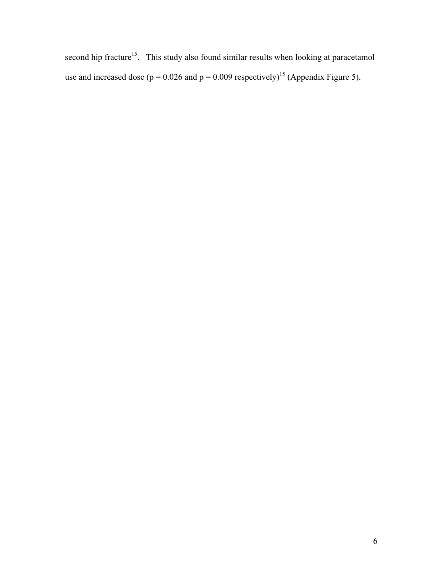second hip fracture<sup>15</sup>. This study also found similar results when looking at paracetamol use and increased dose ( $p = 0.026$  and  $p = 0.009$  respectively)<sup>15</sup> (Appendix Figure 5).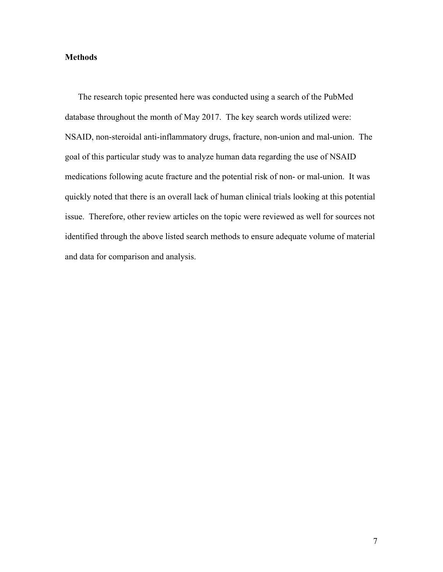#### **Methods**

The research topic presented here was conducted using a search of the PubMed database throughout the month of May 2017. The key search words utilized were: NSAID, non-steroidal anti-inflammatory drugs, fracture, non-union and mal-union. The goal of this particular study was to analyze human data regarding the use of NSAID medications following acute fracture and the potential risk of non- or mal-union. It was quickly noted that there is an overall lack of human clinical trials looking at this potential issue. Therefore, other review articles on the topic were reviewed as well for sources not identified through the above listed search methods to ensure adequate volume of material and data for comparison and analysis.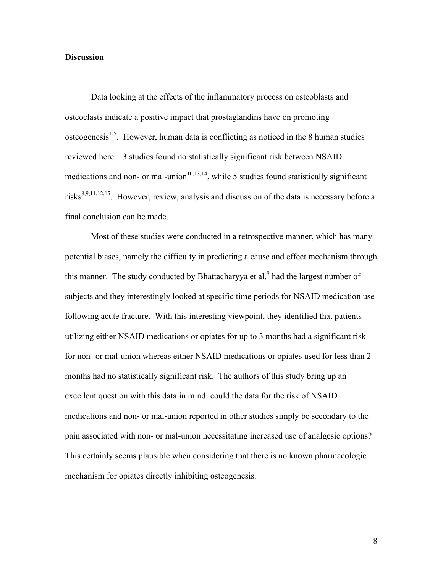#### **Discussion**

Data looking at the effects of the inflammatory process on osteoblasts and osteoclasts indicate a positive impact that prostaglandins have on promoting osteogenesis $1.5$ . However, human data is conflicting as noticed in the 8 human studies reviewed here – 3 studies found no statistically significant risk between NSAID medications and non- or mal-union<sup>10,13,14</sup>, while 5 studies found statistically significant risks $8,9,11,12,15$ . However, review, analysis and discussion of the data is necessary before a final conclusion can be made.

Most of these studies were conducted in a retrospective manner, which has many potential biases, namely the difficulty in predicting a cause and effect mechanism through this manner. The study conducted by Bhattacharyya et al.<sup>9</sup> had the largest number of subjects and they interestingly looked at specific time periods for NSAID medication use following acute fracture. With this interesting viewpoint, they identified that patients utilizing either NSAID medications or opiates for up to 3 months had a significant risk for non- or mal-union whereas either NSAID medications or opiates used for less than 2 months had no statistically significant risk. The authors of this study bring up an excellent question with this data in mind: could the data for the risk of NSAID medications and non- or mal-union reported in other studies simply be secondary to the pain associated with non- or mal-union necessitating increased use of analgesic options? This certainly seems plausible when considering that there is no known pharmacologic mechanism for opiates directly inhibiting osteogenesis.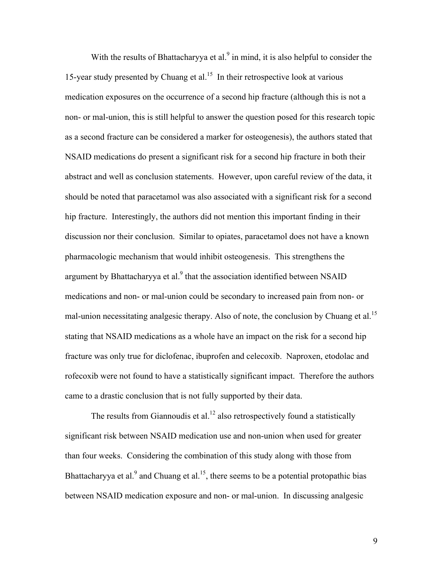With the results of Bhattacharyya et al. $9$  in mind, it is also helpful to consider the 15-year study presented by Chuang et al. $^{15}$  In their retrospective look at various medication exposures on the occurrence of a second hip fracture (although this is not a non- or mal-union, this is still helpful to answer the question posed for this research topic as a second fracture can be considered a marker for osteogenesis), the authors stated that NSAID medications do present a significant risk for a second hip fracture in both their abstract and well as conclusion statements. However, upon careful review of the data, it should be noted that paracetamol was also associated with a significant risk for a second hip fracture. Interestingly, the authors did not mention this important finding in their discussion nor their conclusion. Similar to opiates, paracetamol does not have a known pharmacologic mechanism that would inhibit osteogenesis. This strengthens the argument by Bhattacharyya et al.<sup>9</sup> that the association identified between NSAID medications and non- or mal-union could be secondary to increased pain from non- or mal-union necessitating analgesic therapy. Also of note, the conclusion by Chuang et al.<sup>15</sup> stating that NSAID medications as a whole have an impact on the risk for a second hip fracture was only true for diclofenac, ibuprofen and celecoxib. Naproxen, etodolac and rofecoxib were not found to have a statistically significant impact. Therefore the authors came to a drastic conclusion that is not fully supported by their data.

The results from Giannoudis et al.<sup>12</sup> also retrospectively found a statistically significant risk between NSAID medication use and non-union when used for greater than four weeks. Considering the combination of this study along with those from Bhattacharyya et al. $<sup>9</sup>$  and Chuang et al.<sup>15</sup>, there seems to be a potential protopathic bias</sup> between NSAID medication exposure and non- or mal-union. In discussing analgesic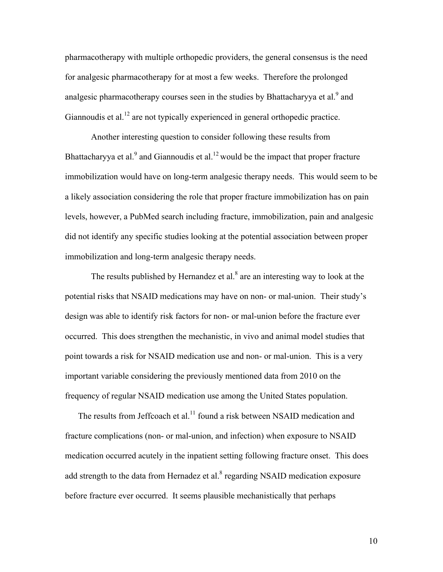pharmacotherapy with multiple orthopedic providers, the general consensus is the need for analgesic pharmacotherapy for at most a few weeks. Therefore the prolonged analgesic pharmacotherapy courses seen in the studies by Bhattachary va et al.<sup>9</sup> and Giannoudis et al.<sup>12</sup> are not typically experienced in general orthopedic practice.

Another interesting question to consider following these results from Bhattacharyya et al. $9$  and Giannoudis et al.<sup>12</sup> would be the impact that proper fracture immobilization would have on long-term analgesic therapy needs. This would seem to be a likely association considering the role that proper fracture immobilization has on pain levels, however, a PubMed search including fracture, immobilization, pain and analgesic did not identify any specific studies looking at the potential association between proper immobilization and long-term analgesic therapy needs.

The results published by Hernandez et al. $^8$  are an interesting way to look at the potential risks that NSAID medications may have on non- or mal-union. Their study's design was able to identify risk factors for non- or mal-union before the fracture ever occurred. This does strengthen the mechanistic, in vivo and animal model studies that point towards a risk for NSAID medication use and non- or mal-union. This is a very important variable considering the previously mentioned data from 2010 on the frequency of regular NSAID medication use among the United States population.

The results from Jeffcoach et al.<sup>11</sup> found a risk between NSAID medication and fracture complications (non- or mal-union, and infection) when exposure to NSAID medication occurred acutely in the inpatient setting following fracture onset. This does add strength to the data from Hernadez et al.<sup>8</sup> regarding NSAID medication exposure before fracture ever occurred. It seems plausible mechanistically that perhaps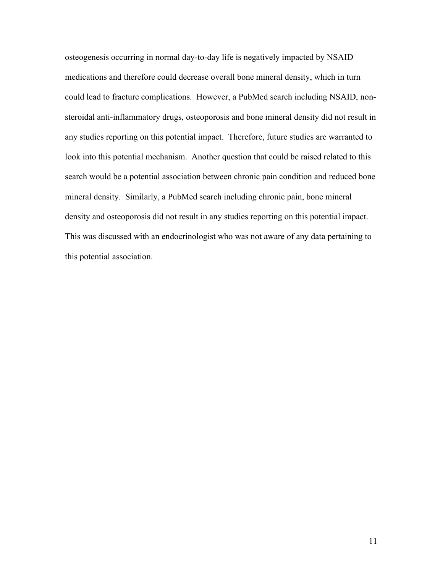osteogenesis occurring in normal day-to-day life is negatively impacted by NSAID medications and therefore could decrease overall bone mineral density, which in turn could lead to fracture complications. However, a PubMed search including NSAID, nonsteroidal anti-inflammatory drugs, osteoporosis and bone mineral density did not result in any studies reporting on this potential impact. Therefore, future studies are warranted to look into this potential mechanism. Another question that could be raised related to this search would be a potential association between chronic pain condition and reduced bone mineral density. Similarly, a PubMed search including chronic pain, bone mineral density and osteoporosis did not result in any studies reporting on this potential impact. This was discussed with an endocrinologist who was not aware of any data pertaining to this potential association.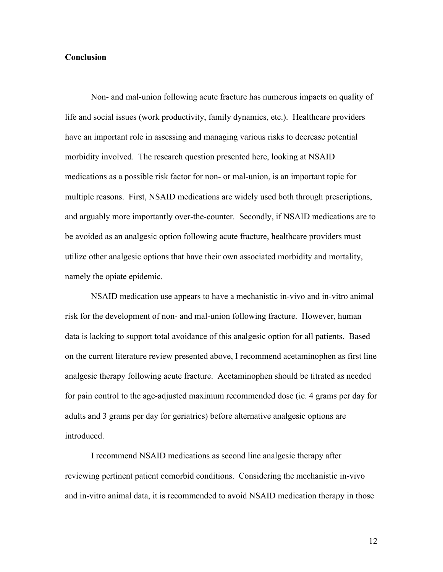#### **Conclusion**

Non- and mal-union following acute fracture has numerous impacts on quality of life and social issues (work productivity, family dynamics, etc.). Healthcare providers have an important role in assessing and managing various risks to decrease potential morbidity involved. The research question presented here, looking at NSAID medications as a possible risk factor for non- or mal-union, is an important topic for multiple reasons. First, NSAID medications are widely used both through prescriptions, and arguably more importantly over-the-counter. Secondly, if NSAID medications are to be avoided as an analgesic option following acute fracture, healthcare providers must utilize other analgesic options that have their own associated morbidity and mortality, namely the opiate epidemic.

NSAID medication use appears to have a mechanistic in-vivo and in-vitro animal risk for the development of non- and mal-union following fracture. However, human data is lacking to support total avoidance of this analgesic option for all patients. Based on the current literature review presented above, I recommend acetaminophen as first line analgesic therapy following acute fracture. Acetaminophen should be titrated as needed for pain control to the age-adjusted maximum recommended dose (ie. 4 grams per day for adults and 3 grams per day for geriatrics) before alternative analgesic options are introduced.

I recommend NSAID medications as second line analgesic therapy after reviewing pertinent patient comorbid conditions. Considering the mechanistic in-vivo and in-vitro animal data, it is recommended to avoid NSAID medication therapy in those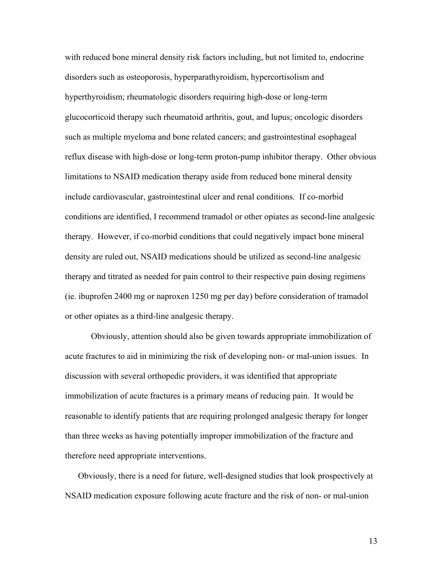with reduced bone mineral density risk factors including, but not limited to, endocrine disorders such as osteoporosis, hyperparathyroidism, hypercortisolism and hyperthyroidism; rheumatologic disorders requiring high-dose or long-term glucocorticoid therapy such rheumatoid arthritis, gout, and lupus; oncologic disorders such as multiple myeloma and bone related cancers; and gastrointestinal esophageal reflux disease with high-dose or long-term proton-pump inhibitor therapy. Other obvious limitations to NSAID medication therapy aside from reduced bone mineral density include cardiovascular, gastrointestinal ulcer and renal conditions. If co-morbid conditions are identified, I recommend tramadol or other opiates as second-line analgesic therapy. However, if co-morbid conditions that could negatively impact bone mineral density are ruled out, NSAID medications should be utilized as second-line analgesic therapy and titrated as needed for pain control to their respective pain dosing regimens (ie. ibuprofen 2400 mg or naproxen 1250 mg per day) before consideration of tramadol or other opiates as a third-line analgesic therapy.

Obviously, attention should also be given towards appropriate immobilization of acute fractures to aid in minimizing the risk of developing non- or mal-union issues. In discussion with several orthopedic providers, it was identified that appropriate immobilization of acute fractures is a primary means of reducing pain. It would be reasonable to identify patients that are requiring prolonged analgesic therapy for longer than three weeks as having potentially improper immobilization of the fracture and therefore need appropriate interventions.

Obviously, there is a need for future, well-designed studies that look prospectively at NSAID medication exposure following acute fracture and the risk of non- or mal-union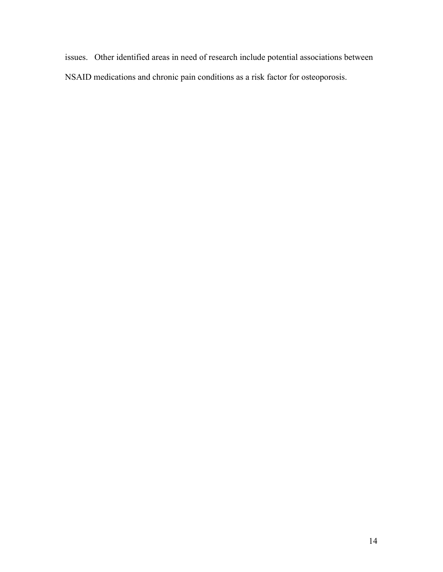issues. Other identified areas in need of research include potential associations between NSAID medications and chronic pain conditions as a risk factor for osteoporosis.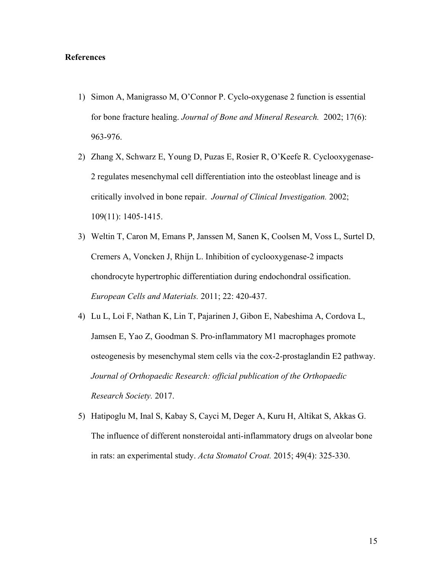#### **References**

- 1) Simon A, Manigrasso M, O'Connor P. Cyclo-oxygenase 2 function is essential for bone fracture healing. *Journal of Bone and Mineral Research.* 2002; 17(6): 963-976.
- 2) Zhang X, Schwarz E, Young D, Puzas E, Rosier R, O'Keefe R. Cyclooxygenase-2 regulates mesenchymal cell differentiation into the osteoblast lineage and is critically involved in bone repair. *Journal of Clinical Investigation.* 2002; 109(11): 1405-1415.
- 3) Weltin T, Caron M, Emans P, Janssen M, Sanen K, Coolsen M, Voss L, Surtel D, Cremers A, Voncken J, Rhijn L. Inhibition of cyclooxygenase-2 impacts chondrocyte hypertrophic differentiation during endochondral ossification. *European Cells and Materials.* 2011; 22: 420-437.
- 4) Lu L, Loi F, Nathan K, Lin T, Pajarinen J, Gibon E, Nabeshima A, Cordova L, Jamsen E, Yao Z, Goodman S. Pro-inflammatory M1 macrophages promote osteogenesis by mesenchymal stem cells via the cox-2-prostaglandin E2 pathway. *Journal of Orthopaedic Research: official publication of the Orthopaedic Research Society.* 2017.
- 5) Hatipoglu M, Inal S, Kabay S, Cayci M, Deger A, Kuru H, Altikat S, Akkas G. The influence of different nonsteroidal anti-inflammatory drugs on alveolar bone in rats: an experimental study. *Acta Stomatol Croat.* 2015; 49(4): 325-330.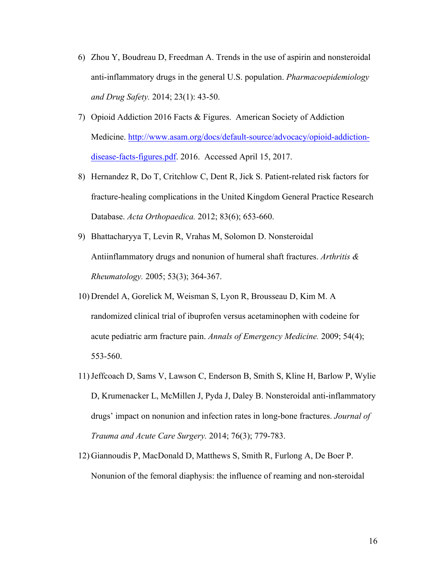- 6) Zhou Y, Boudreau D, Freedman A. Trends in the use of aspirin and nonsteroidal anti-inflammatory drugs in the general U.S. population. *Pharmacoepidemiology and Drug Safety.* 2014; 23(1): 43-50.
- 7) Opioid Addiction 2016 Facts & Figures. American Society of Addiction Medicine. http://www.asam.org/docs/default-source/advocacy/opioid-addictiondisease-facts-figures.pdf. 2016. Accessed April 15, 2017.
- 8) Hernandez R, Do T, Critchlow C, Dent R, Jick S. Patient-related risk factors for fracture-healing complications in the United Kingdom General Practice Research Database. *Acta Orthopaedica.* 2012; 83(6); 653-660.
- 9) Bhattacharyya T, Levin R, Vrahas M, Solomon D. Nonsteroidal Antiinflammatory drugs and nonunion of humeral shaft fractures. *Arthritis & Rheumatology.* 2005; 53(3); 364-367.
- 10) Drendel A, Gorelick M, Weisman S, Lyon R, Brousseau D, Kim M. A randomized clinical trial of ibuprofen versus acetaminophen with codeine for acute pediatric arm fracture pain. *Annals of Emergency Medicine.* 2009; 54(4); 553-560.
- 11)Jeffcoach D, Sams V, Lawson C, Enderson B, Smith S, Kline H, Barlow P, Wylie D, Krumenacker L, McMillen J, Pyda J, Daley B. Nonsteroidal anti-inflammatory drugs' impact on nonunion and infection rates in long-bone fractures. *Journal of Trauma and Acute Care Surgery.* 2014; 76(3); 779-783.
- 12) Giannoudis P, MacDonald D, Matthews S, Smith R, Furlong A, De Boer P. Nonunion of the femoral diaphysis: the influence of reaming and non-steroidal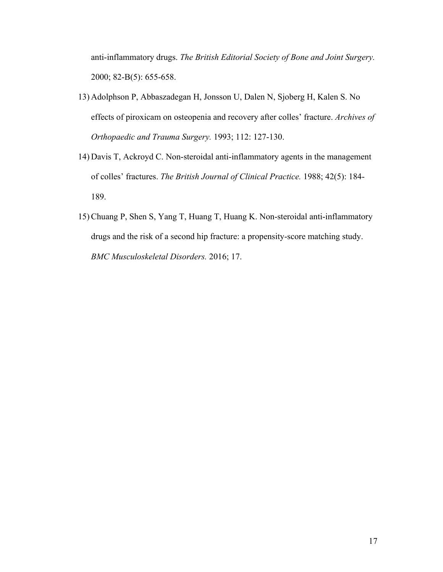anti-inflammatory drugs. *The British Editorial Society of Bone and Joint Surgery.* 2000; 82-B(5): 655-658.

- 13) Adolphson P, Abbaszadegan H, Jonsson U, Dalen N, Sjoberg H, Kalen S. No effects of piroxicam on osteopenia and recovery after colles' fracture. *Archives of Orthopaedic and Trauma Surgery.* 1993; 112: 127-130.
- 14) Davis T, Ackroyd C. Non-steroidal anti-inflammatory agents in the management of colles' fractures. *The British Journal of Clinical Practice.* 1988; 42(5): 184- 189.
- 15) Chuang P, Shen S, Yang T, Huang T, Huang K. Non-steroidal anti-inflammatory drugs and the risk of a second hip fracture: a propensity-score matching study. *BMC Musculoskeletal Disorders.* 2016; 17.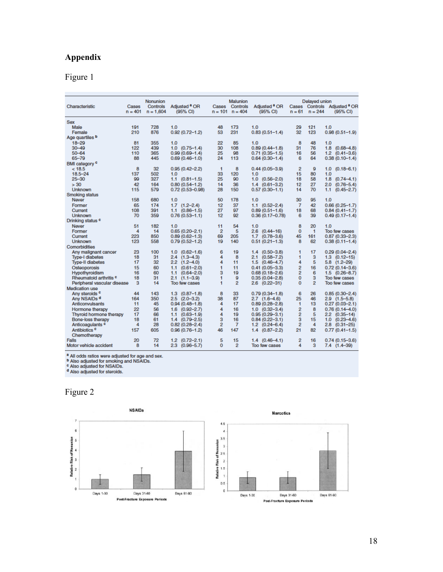#### **Appendix**

Figure 1

| Characteristic                    | Cases<br>$n = 401$ | <b>Nonunion</b><br>Controls<br>$n = 1,604$ | Adjusted <sup>a</sup> OR<br>(95% CI) |                | Malunion<br>Cases Controls<br>$n = 101$ $n = 404$ | Adjusted <sup>a</sup> OR<br>(95% CI) |                | Delayed union<br>$n = 61$ $n = 244$ | Cases Controls Adjusted <sup>a</sup> OR<br>(95% CI) |
|-----------------------------------|--------------------|--------------------------------------------|--------------------------------------|----------------|---------------------------------------------------|--------------------------------------|----------------|-------------------------------------|-----------------------------------------------------|
| <b>Sex</b>                        |                    |                                            |                                      |                |                                                   |                                      |                |                                     |                                                     |
| Male                              | 191                | 728                                        | 1.0                                  | 48             | 173                                               | 1.0                                  | 29             | 121                                 | 1.0                                                 |
| Female                            | 210                | 876                                        | $0.92(0.72 - 1.2)$                   | 53             | 231                                               | $0.83(0.51 - 1.4)$                   | 32             | 123                                 | $0.98(0.51 - 1.9)$                                  |
| Age quartiles b                   |                    |                                            |                                      |                |                                                   |                                      |                |                                     |                                                     |
| $18 - 29$                         | 81                 | 355                                        | 1.0                                  | 22             | 85                                                | 1.0                                  | 8              | 48                                  | 1.0                                                 |
| $30 - 49$                         | 122                | 439                                        | $1.0$ $(0.75 - 1.4)$                 | 30             | 108                                               | $0.89(0.44 - 1.8)$                   | 31             | 76                                  | 1.8<br>$(0.68 - 4.8)$                               |
| $50 - 64$                         | 110                | 365                                        | $0.99(0.69 - 1.4)$                   | 25             | 98                                                | $0.71(0.35 - 1.5)$                   | 16             | 56                                  | $1.2$ $(0.41 - 3.6)$                                |
| 65-79                             | 88                 | 445                                        | $0.69(0.46 - 1.0)$                   | 24             | 113                                               | $0.64(0.30-1.4)$                     | 6              | 64                                  | $0.38(0.10-1.4)$                                    |
| BMI category <sup>c</sup>         |                    |                                            |                                      |                |                                                   |                                      |                |                                     |                                                     |
| < 18.5                            | 8                  | 32                                         | $0.95(0.42 - 2.2)$                   | $\mathbf{1}$   | 8                                                 | $0.44(0.05 - 3.9)$                   | $\overline{2}$ | 9                                   | $(0.18 - 6.1)$<br>1.0 <sub>1</sub>                  |
| $18.5 - 24$                       | 137                | 502                                        | 1.0                                  | 33             | 120                                               | 1.0                                  | 15             | 80                                  | 1.0                                                 |
| $25 - 30$                         | 99                 | 327                                        | $1.1$ $(0.81 - 1.5)$                 | 25             | 90                                                | $1.0$ $(0.56 - 2.0)$                 | 18             | 58                                  | 1.8<br>$(0.74 - 4.1)$                               |
| > 30                              | 42                 | 164                                        | $0.80(0.54 - 1.2)$                   | 14             | 36                                                | $1.4(0.61 - 3.2)$                    | 12             | 27                                  | 2.0<br>$(0.76 - 5.4)$                               |
| <b>Unknown</b>                    | 115                | 579                                        | $0.72(0.53 - 0.98)$                  | 28             | 150                                               | $0.57(0.30-1.1)$                     | 14             | 70                                  | 1.1<br>$(0.45 - 2.7)$                               |
| Smoking status                    |                    |                                            |                                      |                |                                                   |                                      |                |                                     |                                                     |
| Never                             | 158                | 680                                        | 1.0                                  | 50             | 178                                               | 1.0                                  | 30             | 95                                  | 1.0                                                 |
| Former                            | 65                 | 174                                        | $1.7$ $(1.2 - 2.4)$                  | 12             | 37                                                | $1.1$ $(0.52 - 2.4)$                 | $\overline{7}$ | 42                                  | $0.66(0.25 - 1.7)$                                  |
| Current                           | 108                | 391                                        | $(0.86 - 1.5)$<br>1.1                | 27             | 97                                                | $0.89(0.51 - 1.6)$                   | 18             | 68                                  | $0.84(0.41 - 1.7)$                                  |
| <b>Unknown</b>                    | 70                 | 359                                        | $0.76(0.53 - 1.1)$                   | 12             | 92                                                | $0.36(0.17 - 0.78)$                  | 6              | 39                                  | $0.49(0.17 - 1.4)$                                  |
| Drinking status c                 |                    |                                            |                                      |                |                                                   |                                      |                |                                     |                                                     |
| Never                             | 51                 | 182                                        | 1.0                                  | 11             | 54                                                | 1.0                                  | 8              | 20                                  | 1.0                                                 |
| Former                            | 4                  | 14                                         | $0.65(0.20 - 2.1)$                   | $\overline{2}$ | 5                                                 | $2.6$ $(0.44 - 16)$                  | $\bf{0}$       | $\mathbf{1}$                        | Too few cases                                       |
| Current                           | 223                | 850                                        | $0.89(0.62 - 1.3)$                   | 69             | 205                                               | $1.7$ $(0.78 - 3.6)$                 | 45             | 161                                 | $0.87(0.33 - 2.3)$                                  |
| <b>Unknown</b>                    | 123                | 558                                        | $0.79(0.52 - 1.2)$                   | 19             | 140                                               | $0.51(0.21 - 1.3)$                   | 8              | 62                                  | $0.38(0.11 - 1.4)$                                  |
| Comorbidities                     |                    |                                            |                                      |                |                                                   |                                      |                |                                     |                                                     |
| Any malignant cancer              | 23                 | 100                                        | $1.0$ $(0.62 - 1.6)$                 | 6              | 19                                                | $1.4$ $(0.50 - 3.8)$                 | 1              | 17                                  | $0.29(0.04 - 2.4)$                                  |
| <b>Type-I diabetes</b>            | 18                 | 31                                         | $2.4$ $(1.3-4.3)$                    | 4              | 8                                                 | $2.1$ (0.58-7.2)                     | 1              | 3                                   | $1.3$ $(0.12 - 15)$                                 |
| <b>Type-II diabetes</b>           | 17                 | 32                                         | $2.2$ $(1.2 - 4.0)$                  | 4              | 11                                                | $1.5$ $(0.46 - 4.7)$                 | 4              | 5                                   | $5.8$ $(1.2-29)$                                    |
| Osteoporosis                      | 15                 | 60                                         | 1.1<br>$(0.61 - 2.0)$                | 1              | 11                                                | $0.41(0.05 - 3.3)$                   | $\overline{2}$ | 16                                  | $0.72(0.14 - 3.6)$                                  |
| Hypothyroidism                    | 16                 | 60                                         | 1.1<br>$(0.64 - 2.0)$                | 3              | 19                                                | $0.68(0.18 - 2.6)$                   | 2              | 6                                   | $1.5$ $(0.26 - 8.7)$                                |
| Rheumatoid arthritis <sup>c</sup> | 18                 | 31                                         | $2.1$ $(1.1-3.9)$                    | 1              | 9                                                 | $0.35(0.04 - 2.8)$                   | $\mathbf 0$    | з                                   | Too few cases                                       |
| Peripheral vascular disease       | 3                  | 14                                         | Too few cases                        | 1              | $\overline{2}$                                    | $2.6$ $(0.22 - 31)$                  | 0              | $\overline{2}$                      | Too few cases                                       |
| <b>Medication use</b>             |                    |                                            |                                      |                |                                                   |                                      |                |                                     |                                                     |
| Any steroids <sup>c</sup>         | 44                 | 143                                        | $1.3$ $(0.87-1.8)$                   | 8              | 33                                                | $0.79(0.34 - 1.8)$                   | 6              | 26                                  | $0.85(0.30 - 2.4)$                                  |
| Any NSAIDs <sup>d</sup>           | 164                | 350                                        | $2.5$ $(2.0-3.2)$                    | 38             | 87                                                | $2.7$ $(1.6-4.6)$                    | 25             | 46                                  | $2.9$ $(1.5-5.8)$                                   |
| Anticonvulsants                   | 11                 | 45                                         | $0.94(0.48 - 1.8)$                   | 4              | 17                                                | $0.89(0.28 - 2.8)$                   | $\overline{1}$ | 13                                  | $0.27(0.03 - 2.1)$                                  |
| Hormone therapy                   | 22                 | 56                                         | $1.6$ $(0.92 - 2.7)$                 | 4              | 16                                                | $1.0$ $(0.32 - 3.4)$                 | $\overline{2}$ | 8                                   | $0.76(0.14 - 4.0)$                                  |
| <b>Thyroid hormone therapy</b>    | 17                 | 66                                         | $1.1$ $(0.63 - 1.9)$                 | 4              | 19                                                | $0.95(0.29 - 3.1)$                   | $\overline{2}$ | 5                                   | $2.2$ $(0.35 - 14)$                                 |
| Bone-loss therapy                 | 18                 | 61                                         | $1.4$ $(0.79 - 2.5)$                 | 3              | 16                                                | $0.84(0.22 - 3.1)$                   | 3              | 15                                  | $1.0$ $(0.23 - 4.6)$                                |
| Anticoagulants <sup>c</sup>       | 4                  | 28                                         | $0.82(0.28 - 2.4)$                   | $\overline{2}$ | $\overline{7}$                                    | $1.2$ $(0.24 - 6.4)$                 | $\overline{2}$ | 4                                   | $2.8$ $(0.31 - 25)$                                 |
| Antibiotics <sup>c</sup>          | 157                | 605                                        | $0.96(0.76 - 1.2)$                   | 46             | 147                                               | $1.4$ $(0.87 - 2.2)$                 | 21             | 82                                  | $0.77(0.41 - 1.5)$                                  |
| Chemotherapy                      |                    |                                            |                                      |                |                                                   |                                      |                |                                     |                                                     |
| <b>Falls</b>                      | 20                 | 72                                         | $1.2$ $(0.72 - 2.1)$                 | 5              | 15                                                | $1.4(0.46-4.1)$                      | $\overline{2}$ | 16                                  | $0.74(0.15 - 3.6)$                                  |
| Motor vehicle accident            | 8                  | 14                                         | $2.3$ $(0.96 - 5.7)$                 | $\bf{0}$       | $\overline{2}$                                    | Too few cases                        | 4              | 3                                   | $7.4(1.4-39)$                                       |

a All odds ratios were adjusted for age and sex.<br> **b** Also adjusted for smoking and NSAIDs.<br> **c** Also adjusted for NSAIDs.<br> **d** Also adjusted for steroids.

Figure 2

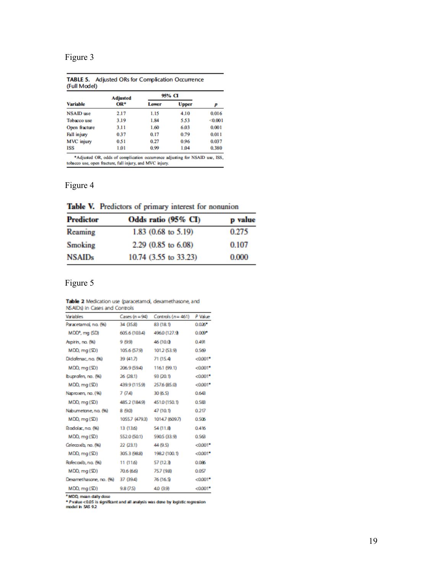#### Figure 3

|                    | <b>Adjusted</b> | 95% CI |              |         |
|--------------------|-----------------|--------|--------------|---------|
| <b>Variable</b>    | $OR*$           | Lower  | <b>Upper</b> | P       |
| <b>NSAID</b> use   | 2.17            | 1.15   | 4.10         | 0.016   |
| <b>Tobacco use</b> | 3.19            | 1.84   | 5.53         | < 0.001 |
| Open fracture      | 3.11            | 1.60   | 6.03         | 0.001   |
| Fall injury        | 0.37            | 0.17   | 0.79         | 0.011   |
| MVC injury         | 0.51            | 0.27   | 0.96         | 0.037   |
| <b>ISS</b>         | 1.01            | 0.99   | 1.04         | 0.380   |

 $^\bullet$  Adjusted OR, odds of complication occurrence adjusting for NSAID use, ISS, to<br>bacco use, open fracture, fall injury, and MVC injury.

#### Figure 4

#### Table V. Predictors of primary interest for nonunion

| <b>Predictor</b> | Odds ratio (95% CI)   | p value |
|------------------|-----------------------|---------|
| Reaming          | $1.83$ (0.68 to 5.19) | 0.275   |
| Smoking          | 2.29 (0.85 to 6.08)   | 0.107   |
| <b>NSAIDs</b>    | 10.74 (3.55 to 33.23) | 0.000   |

#### Figure 5

|                               |  | Table 2 Medication use (paracetamol, dexamethasone, and |  |
|-------------------------------|--|---------------------------------------------------------|--|
| NSAIDs) in Cases and Controls |  |                                                         |  |

| Variables                  | Cases $(n=94)$ | Controls $(n = 461)$ | P Value              |
|----------------------------|----------------|----------------------|----------------------|
| Paracetamol no. (%)        | 34 (35.8)      | 83 (18.1)            | $0.025$ <sup>*</sup> |
| MDD <sup>*</sup> , mg (SD) | 605.6 (103.4)  | 4960 (127.9)         | $0.009$ <sup>*</sup> |
| Aspirin, no. (%)           | 9 (99)         | 46 (10.0             | 0.491                |
| MDD, mq(SD)                | 105.6 (57.9)   | 1012 (53.9)          | 0.569                |
| Didofenac, no. (%)         | 39 (41.7)      | 71 (15.4)            | $< 0.001$ *          |
| MDD, mq(SD)                | 206.9 (59.4)   | 116.1 (99.1)         | $< 0.001$ *          |
| buprofen, no. (%)          | 26 (28.1)      | 93 (20.1)            | $< 0.001$ *          |
| MDD, mq(SD)                | 439.9 (115.9)  | 2576 (85.0)          | $< 0.001$ *          |
| Naproxen, no. (%)          | 7(74)          | 30 (6.5)             | 0.643                |
| MDD, mq(SD)                | 485.2 (184.9)  | 451.0 (150.1)        | 0.588                |
| Nabumetone, no. (%)        | 8 (9.0)        | 47 (10.1)            | 0.217                |
| MDD, mq(SD)                | 1055.7 (479.3) | 1014.7 (609.7)       | 0.506                |
| Brodolac, no. (%)          | 13 (13.6)      | 54 (11.8)            | 0.416                |
| MDD, mg(SD)                | 552.0 (50.1)   | 590.5 (33.9)         | 0.563                |
| Celecoxib, no. (%)         | 22 (23.1)      | 44 (9.5)             | $< 0.001$ *          |
| MDD, mg(SD)                | 305.3 (98.8)   | 1982 (100.1)         | $< 0.001$ *          |
| Rafecadb, no. (%)          | 11 (116)       | 57 (12.3)            | 0.085                |
| MDD, mg(SD)                | 70.6 (6.6)     | 75.7 (9.8)           | 0.057                |
| Dexamethasone, no. (%)     | 37 (39.4)      | 76 (16.9)            | $< 0.001$ *          |
| MDD, mg(SD)                | 9.8(7.5)       | 40 (3.9)             | $< 0.001$ *          |

 $^2$  MDD, mean daily dose<br>  $^\circ$  P value <0.05 is significant and all analysis was done by logistic regression model in SAS 9.2